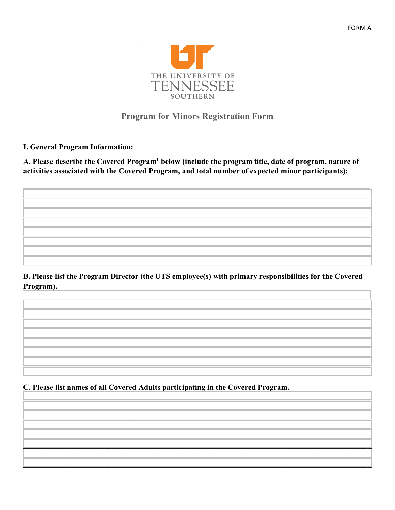**FORM A** 



# **Program for Minors Registration Form**

**I. General Program Information:** 

A. Please describe the Covered Program<sup>1</sup> below (include the program title, date of program, nature of activities associated with the Covered Program, and total number of expected minor participants):

B. Please list the Program Director (the UTS employee(s) with primary responsibilities for the Covered Program).

C. Please list names of all Covered Adults participating in the Covered Program.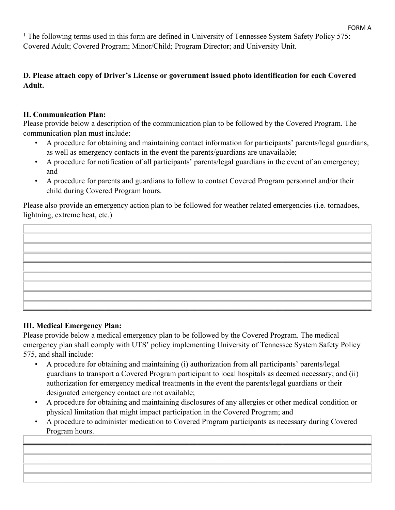$1$  The following terms used in this form are defined in University of Tennessee System Safety Policy 575: Covered Adult; Covered Program; Minor/Child; Program Director; and University Unit.

## **D. Please attach copy of Driver's License or government issued photo identification for each Covered Adult.**

### **II. Communication Plan:**

Please provide below a description of the communication plan to be followed by the Covered Program. The communication plan must include:

- A procedure for obtaining and maintaining contact information for participants' parents/legal guardians, as well as emergency contacts in the event the parents/guardians are unavailable;
- A procedure for notification of all participants' parents/legal guardians in the event of an emergency; and
- A procedure for parents and guardians to follow to contact Covered Program personnel and/or their child during Covered Program hours.

Please also provide an emergency action plan to be followed for weather related emergencies (i.e. tornadoes, lightning, extreme heat, etc.)



## **III. Medical Emergency Plan:**

Please provide below a medical emergency plan to be followed by the Covered Program. The medical emergency plan shall comply with UTS' policy implementing University of Tennessee System Safety Policy 575, and shall include:

- A procedure for obtaining and maintaining (i) authorization from all participants' parents/legal guardians to transport a Covered Program participant to local hospitals as deemed necessary; and (ii) authorization for emergency medical treatments in the event the parents/legal guardians or their designated emergency contact are not available;
- A procedure for obtaining and maintaining disclosures of any allergies or other medical condition or physical limitation that might impact participation in the Covered Program; and
- A procedure to administer medication to Covered Program participants as necessary during Covered Program hours.

 $\Box$  , and the contribution of the contribution of the contribution of the contribution of the contribution of the contribution of the contribution of the contribution of the contribution of the contribution of the contri  $\Box$  , and the contribution of the contribution of the contribution of the contribution of the contribution of  $\Delta$  $\Box$  , and the contribution of the contribution of the contribution of the contribution of the contribution of the contribution of the contribution of the contribution of the contribution of the contribution of the contri  $\Box$  , and the contribution of the contribution of the contribution of the contribution of the contribution of the contribution of the contribution of the contribution of the contribution of the contribution of the contri  $\Box$  , and the contribution of the contribution of the contribution of the contribution of the contribution of the contribution of the contribution of the contribution of the contribution of the contribution of the contri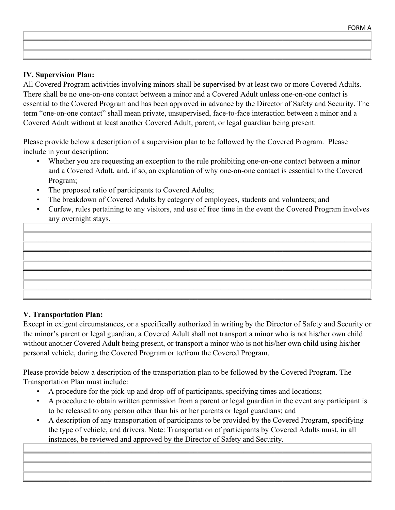## **IV. Supervision Plan:**

All Covered Program activities involving minors shall be supervised by at least two or more Covered Adults. There shall be no one-on-one contact between a minor and a Covered Adult unless one-on-one contact is essential to the Covered Program and has been approved in advance by the Director of Safety and Security. The term "one-on-one contact" shall mean private, unsupervised, face-to-face interaction between a minor and a Covered Adult without at least another Covered Adult, parent, or legal guardian being present.

 $\Box$  , and the contribution of the contribution of the contribution of the contribution of the contribution of the contribution of the contribution of the contribution of the contribution of the contribution of the contri  $\Box$  , and the contribution of the contribution of the contribution of the contribution of the contribution of the contribution of the contribution of the contribution of the contribution of the contribution of the contri  $\mathcal{L}_\text{max} = \mathcal{L}_\text{max} = \mathcal{L}_\text{max} = \mathcal{L}_\text{max} = \mathcal{L}_\text{max} = \mathcal{L}_\text{max} = \mathcal{L}_\text{max} = \mathcal{L}_\text{max} = \mathcal{L}_\text{max} = \mathcal{L}_\text{max} = \mathcal{L}_\text{max} = \mathcal{L}_\text{max} = \mathcal{L}_\text{max} = \mathcal{L}_\text{max} = \mathcal{L}_\text{max} = \mathcal{L}_\text{max} = \mathcal{L}_\text{max} = \mathcal{L}_\text{max} = \mathcal{$ 

Please provide below a description of a supervision plan to be followed by the Covered Program. Please include in your description:

- Whether you are requesting an exception to the rule prohibiting one-on-one contact between a minor and a Covered Adult, and, if so, an explanation of why one-on-one contact is essential to the Covered Program;
- The proposed ratio of participants to Covered Adults;
- The breakdown of Covered Adults by category of employees, students and volunteers; and
- Curfew, rules pertaining to any visitors, and use of free time in the event the Covered Program involves any overnight stays.

 $\Box$  , and the contribution of the contribution of the contribution of the contribution of the contribution of  $\Box$  $\Box$  , and the contribution of the contribution of the contribution of the contribution of the contribution of the contribution of the contribution of the contribution of the contribution of the contribution of the contri  $\Box$  , and the contribution of the contribution of the contribution of the contribution of the contribution of the contribution of the contribution of the contribution of the contribution of the contribution of the contri  $\Box$  , and the contribution of the contribution of the contribution of the contribution of the contribution of  $\Delta$  $\Box$  , and the contribution of the contribution of the contribution of the contribution of the contribution of the contribution of the contribution of the contribution of the contribution of the contribution of the contri  $\Box$  , and the contribution of the contribution of the contribution of the contribution of the contribution of the contribution of the contribution of the contribution of the contribution of the contribution of the contri  $\Box$  , and the contribution of the contribution of the contribution of the contribution of the contribution of the contribution of the contribution of the contribution of the contribution of the contribution of the contri  $\mathcal{L}_\text{max} = \mathcal{L}_\text{max} = \mathcal{L}_\text{max} = \mathcal{L}_\text{max} = \mathcal{L}_\text{max} = \mathcal{L}_\text{max} = \mathcal{L}_\text{max} = \mathcal{L}_\text{max} = \mathcal{L}_\text{max} = \mathcal{L}_\text{max} = \mathcal{L}_\text{max} = \mathcal{L}_\text{max} = \mathcal{L}_\text{max} = \mathcal{L}_\text{max} = \mathcal{L}_\text{max} = \mathcal{L}_\text{max} = \mathcal{L}_\text{max} = \mathcal{L}_\text{max} = \mathcal{$ 

### **V. Transportation Plan:**

Except in exigent circumstances, or a specifically authorized in writing by the Director of Safety and Security or the minor's parent or legal guardian, a Covered Adult shall not transport a minor who is not his/her own child without another Covered Adult being present, or transport a minor who is not his/her own child using his/her personal vehicle, during the Covered Program or to/from the Covered Program.

Please provide below a description of the transportation plan to be followed by the Covered Program. The Transportation Plan must include:

- A procedure for the pick-up and drop-off of participants, specifying times and locations;
- A procedure to obtain written permission from a parent or legal guardian in the event any participant is to be released to any person other than his or her parents or legal guardians; and
- A description of any transportation of participants to be provided by the Covered Program, specifying the type of vehicle, and drivers. Note: Transportation of participants by Covered Adults must, in all instances, be reviewed and approved by the Director of Safety and Security.

 $\Box$  , and the contribution of the contribution of the contribution of the contribution of the contribution of the contribution of the contribution of the contribution of the contribution of the contribution of the contri  $\Box$  , and the contribution of the contribution of the contribution of the contribution of the contribution of  $\Delta$  $\Box$  , and the contribution of the contribution of the contribution of the contribution of the contribution of the contribution of the contribution of the contribution of the contribution of the contribution of the contri  $\Box_{\mu\nu} = \Box_{\mu\nu} = \Box_{\mu\nu} = \Box_{\mu\nu} = \Box_{\mu\nu} = \Box_{\mu\nu} = \Box_{\mu\nu} = \Box_{\mu\nu} = \Box_{\mu\nu} = \Box_{\mu\nu} = \Box_{\mu\nu} = \Box_{\mu\nu} = \Box_{\mu\nu} = \Box_{\mu\nu} = \Box_{\mu\nu} = \Box_{\mu\nu} = \Box_{\mu\nu} = \Box_{\mu\nu} = \Box_{\mu\nu} = \Box_{\mu\nu} = \Box_{\mu\nu} = \Box_{\mu\nu} = \Box_{\mu\nu} = \Box_{\mu\nu} = \Box_{\$